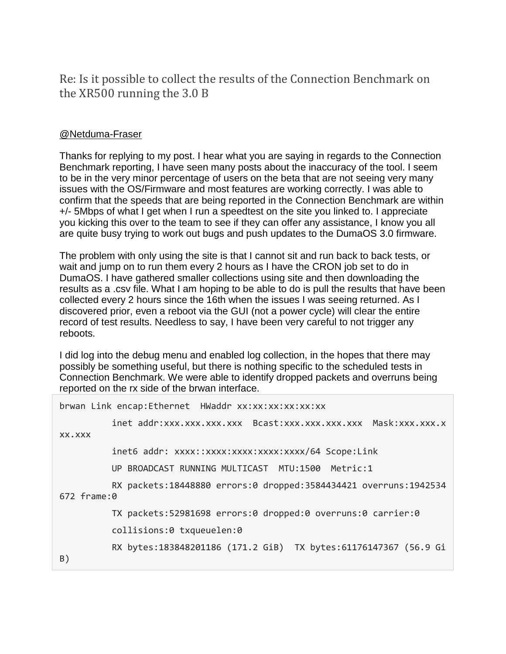Re: Is it possible to collect the results of the Connection Benchmark on the XR500 running the 3.0 B

## [@Netduma-Fraser](https://community.netgear.com/t5/user/viewprofilepage/user-id/550229)

Thanks for replying to my post. I hear what you are saying in regards to the Connection Benchmark reporting, I have seen many posts about the inaccuracy of the tool. I seem to be in the very minor percentage of users on the beta that are not seeing very many issues with the OS/Firmware and most features are working correctly. I was able to confirm that the speeds that are being reported in the Connection Benchmark are within +/- 5Mbps of what I get when I run a speedtest on the site you linked to. I appreciate you kicking this over to the team to see if they can offer any assistance, I know you all are quite busy trying to work out bugs and push updates to the DumaOS 3.0 firmware.

The problem with only using the site is that I cannot sit and run back to back tests, or wait and jump on to run them every 2 hours as I have the CRON job set to do in DumaOS. I have gathered smaller collections using site and then downloading the results as a .csv file. What I am hoping to be able to do is pull the results that have been collected every 2 hours since the 16th when the issues I was seeing returned. As I discovered prior, even a reboot via the GUI (not a power cycle) will clear the entire record of test results. Needless to say, I have been very careful to not trigger any reboots.

I did log into the debug menu and enabled log collection, in the hopes that there may possibly be something useful, but there is nothing specific to the scheduled tests in Connection Benchmark. We were able to identify dropped packets and overruns being reported on the rx side of the brwan interface.

|                | brwan Link encap:Ethernet HWaddr xx:xx:xx:xx:xx:xx                   |
|----------------|----------------------------------------------------------------------|
|                | inet addr:xxx.xxx.xxx.xxx Bcast:xxx.xxx.xxx.xxx Mask:xxx.xxx.x       |
| XX.XXX         |                                                                      |
|                | inet6 addr: xxxx::xxxx:xxxx:xxxx:xxxx/64 Scope:Link                  |
|                | UP BROADCAST RUNNING MULTICAST MTU:1500 Metric:1                     |
| $672$ frame: 0 | RX packets: 18448880 errors: 0 dropped: 3584434421 overruns: 1942534 |
|                | TX packets:52981698 errors:0 dropped:0 overruns:0 carrier:0          |
|                | collisions:0 txqueuelen:0                                            |
| B)             | RX bytes:183848201186 (171.2 GiB) TX bytes:61176147367 (56.9 Gi      |